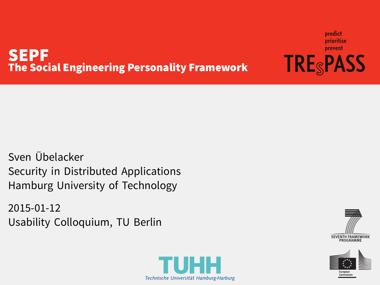#### SEPF The Social Engineering Personality Framework

Sven Übelacker Security in Distributed Applications Hamburg University of Technology

2015-01-12 Usability Colloquium, TU Berlin



predict prioritise prevent **TRE<sub>S</sub>PASS** 



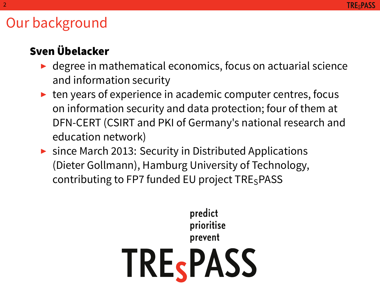### Our background

#### Sven Übelacker

- $\blacktriangleright$  degree in mathematical economics, focus on actuarial science and information security
- $\triangleright$  ten years of experience in academic computer centres, focus on information security and data protection; four of them at DFN-CERT (CSIRT and PKI of Germany's national research and education network)
- ▶ since March 2013: Security in Distributed Applications (Dieter Gollmann), Hamburg University of Technology, contributing to FP7 funded EU project  $TRE<sub>S</sub>PASS$

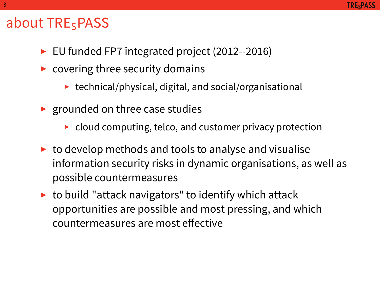#### about TRE<sub>SPASS</sub>

- ▶ EU funded FP7 integrated project (2012--2016)
- $\triangleright$  covering three security domains
	- $\blacktriangleright$  technical/physical, digital, and social/organisational
- $\blacktriangleright$  grounded on three case studies
	- $\triangleright$  cloud computing, telco, and customer privacy protection
- $\triangleright$  to develop methods and tools to analyse and visualise information security risks in dynamic organisations, as well as possible countermeasures
- $\triangleright$  to build "attack navigators" to identify which attack opportunities are possible and most pressing, and which countermeasures are most effective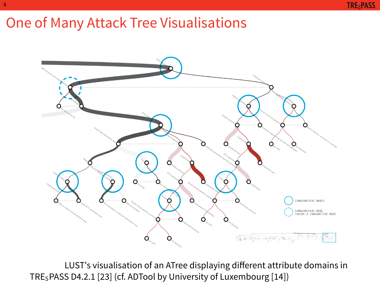# One of Many Attack Tree Visualisations

4



LUST's visualisation of an ATree displaying different attribute domains in TRESPASS D4.2.1 [23] (cf. ADTool by University of Luxembourg [14])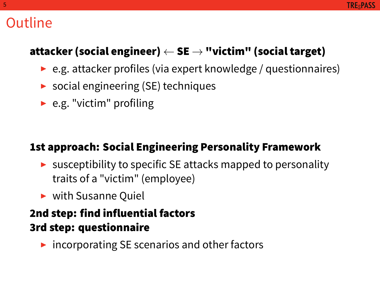### Outline

#### attacker (social engineer) *←* SE *→* "victim" (social target)

- ▶ e.g. attacker profiles (via expert knowledge / questionnaires)
- $\triangleright$  social engineering (SE) techniques
- $\blacktriangleright$  e.g. "victim" profiling

#### 1st approach: Social Engineering Personality Framework

- $\triangleright$  susceptibility to specific SE attacks mapped to personality traits of a "victim" (employee)
- ▶ with Susanne Quiel

#### 2nd step: find influential factors 3rd step: questionnaire

 $\triangleright$  incorporating SE scenarios and other factors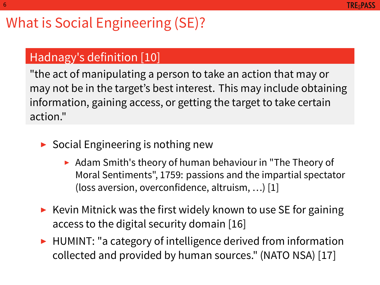#### **TRESPASS**

## What is Social Engineering (SE)?

### Hadnagy's definition [10]

6

"the act of manipulating a person to take an action that may or may not be in the target's best interest. This may include obtaining information, gaining access, or getting the target to take certain action."

- ▶ Social Engineering is nothing new
	- ▶ Adam Smith's theory of human behaviour in "The Theory of Moral Sentiments", 1759: passions and the impartial spectator (loss aversion, overconfidence, altruism, …) [1]
- ▶ Kevin Mitnick was the first widely known to use SE for gaining access to the digital security domain [16]
- ▶ HUMINT: "a category of intelligence derived from information collected and provided by human sources." (NATO NSA) [17]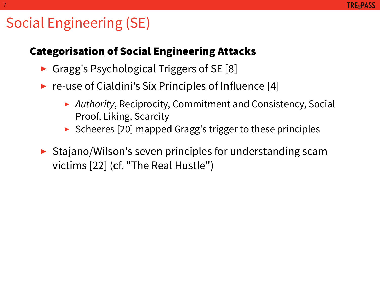## Social Engineering (SE)

7

#### Categorisation of Social Engineering Attacks

- ▶ Gragg's Psychological Triggers of SE [8]
- ▶ re-use of Cialdini's Six Principles of Influence [4]
	- ▶ *Authority*, Reciprocity, Commitment and Consistency, Social Proof, Liking, Scarcity
	- ▶ Scheeres [20] mapped Gragg's trigger to these principles
- ▶ Stajano/Wilson's seven principles for understanding scam victims [22] (cf. "The Real Hustle")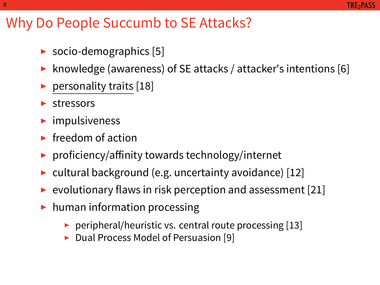### Why Do People Succumb to SE Attacks?

- ▶ socio-demographics [5]
- ▶ knowledge (awareness) of SE attacks / attacker's intentions [6]
- $\blacktriangleright$  personality traits [18]
- ▶ stressors

8

- $\blacktriangleright$  impulsiveness
- $\blacktriangleright$  freedom of action
- ▶ proficiency/affinity towards technology/internet
- ▶ cultural background (e.g. uncertainty avoidance) [12]
- $\triangleright$  evolutionary flaws in risk perception and assessment [21]
- ▶ human information processing
	- $\triangleright$  peripheral/heuristic vs. central route processing [13]
	- ▶ Dual Process Model of Persuasion [9]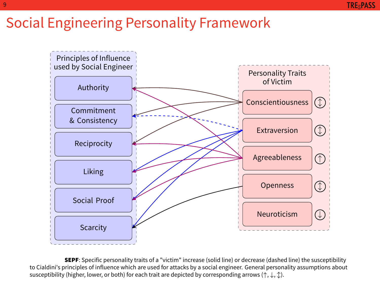### Social Engineering Personality Framework



**SEPF**: Specific personality traits of a "victim" increase (solid line) or decrease (dashed line) the susceptibility to Cialdini's principles of influence which are used for attacks by a social engineer. General personality assumptions about susceptibility (higher, lower, or both) for each trait are depicted by corresponding arrows (*↑*, *↓*, *↕*).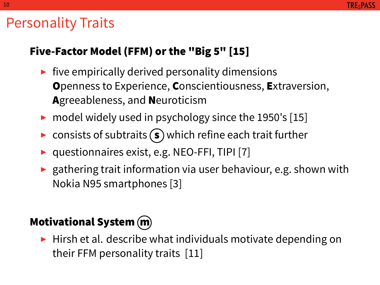### Personality Traits

10

#### Five-Factor Model (FFM) or the "Big 5" [15]

- $\blacktriangleright$  five empirically derived personality dimensions Openness to Experience, Conscientiousness, Extraversion, Agreeableness, and Neuroticism
- ▶ model widely used in psychology since the 1950's [15]
- $\triangleright$  consists of subtraits  $\binom{s}{s}$  which refine each trait further
- ▶ questionnaires exist, e.g. NEO-FFI, TIPI [7]
- $\blacktriangleright$  gathering trait information via user behaviour, e.g. shown with Nokia N95 smartphones [3]

#### Motivational System (m)

 $\blacktriangleright$  Hirsh et al. describe what individuals motivate depending on their FFM personality traits [11]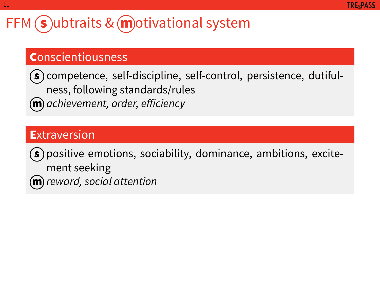### FFM  $\sinh(3)$ ubtraits & motivational system

#### **Conscientiousness**

 $\mathsf{\scriptstyle{(s)}}$  competence, self-discipline, self-control, persistence, dutifulness, following standards/rules m. *achievement, order, efficiency*

#### **Extraversion**

11

 $\binom{1}{s}$  positive emotions, sociability, dominance, ambitions, excitement seeking  $\widehat{\textbf{m}}$  reward, social attention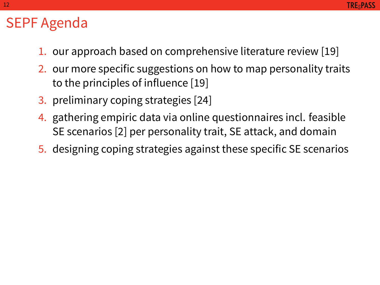### SEPF Agenda

12

- 1. our approach based on comprehensive literature review [19]
- 2. our more specific suggestions on how to map personality traits to the principles of influence [19]
- 3. preliminary coping strategies [24]
- 4. gathering empiric data via online questionnaires incl. feasible SE scenarios [2] per personality trait, SE attack, and domain
- 5. designing coping strategies against these specific SE scenarios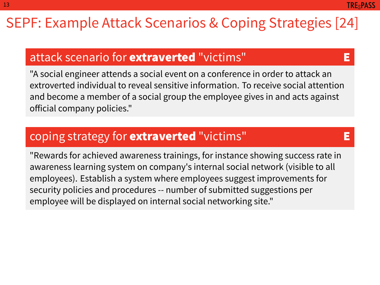### SEPF: Example Attack Scenarios & Coping Strategies [24]

#### attack scenario for **extraverted** "victims" E

13

**TREsPASS** 

"A social engineer attends a social event on a conference in order to attack an extroverted individual to reveal sensitive information. To receive social attention and become a member of a social group the employee gives in and acts against official company policies."

#### coping strategy for **extraverted** "victims" E

"Rewards for achieved awareness trainings, for instance showing success rate in awareness learning system on company's internal social network (visible to all employees). Establish a system where employees suggest improvements for security policies and procedures -- number of submitted suggestions per employee will be displayed on internal social networking site."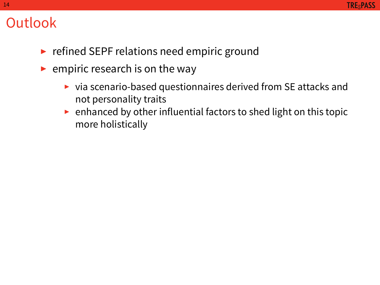### Outlook

- ▶ refined SEPF relations need empiric ground
- $\blacktriangleright$  empiric research is on the way
	- ▶ via scenario-based questionnaires derived from SE attacks and not personality traits
	- $\triangleright$  enhanced by other influential factors to shed light on this topic more holistically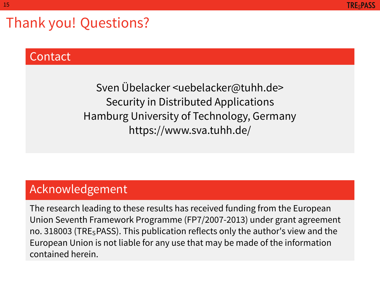Thank you! Questions?

#### Contact

15

Sven Übelacker <uebelacker@tuhh.de> Security in Distributed Applications Hamburg University of Technology, Germany https://www.sva.tuhh.de/

#### Acknowledgement

The research leading to these results has received funding from the European Union Seventh Framework Programme (FP7/2007-2013) under grant agreement no. 318003 (TRESPASS). This publication reflects only the author's view and the European Union is not liable for any use that may be made of the information contained herein.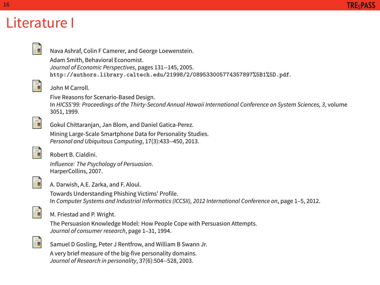## Literature I

16

|  | Nava Ashraf, Colin F Camerer, and George Loewenstein.<br>Adam Smith, Behavioral Economist.<br>Journal of Economic Perspectives, pages 131--145, 2005.<br>http://authors.library.caltech.edu/21998/2/089533005774357897%5B1%5D.pdf. |
|--|------------------------------------------------------------------------------------------------------------------------------------------------------------------------------------------------------------------------------------|
|  | John M Carroll.                                                                                                                                                                                                                    |
|  | Five Reasons for Scenario-Based Design.<br>In HICSS'99: Proceedings of the Thirty-Second Annual Hawaii International Conference on System Sciences, 3, volume<br>3051, 1999.                                                       |
|  | Gokul Chittaranjan, Jan Blom, and Daniel Gatica-Perez.                                                                                                                                                                             |
|  | Mining Large-Scale Smartphone Data for Personality Studies.<br>Personal and Ubiquitous Computing, 17(3):433--450, 2013.                                                                                                            |
|  | Robert B. Cialdini.                                                                                                                                                                                                                |
|  | Influence: The Psychology of Persuasion.<br>HarperCollins, 2007.                                                                                                                                                                   |
|  | A. Darwish, A.E. Zarka, and F. Aloul.                                                                                                                                                                                              |
|  | Towards Understanding Phishing Victims' Profile.<br>In Computer Systems and Industrial Informatics (ICCSII), 2012 International Conference on, page 1-5, 2012.                                                                     |
|  | M. Friestad and P. Wright.                                                                                                                                                                                                         |
|  | The Persuasion Knowledge Model: How People Cope with Persuasion Attempts.<br>Journal of consumer research, page 1-31, 1994.                                                                                                        |
|  | Samuel D Gosling, Peter J Rentfrow, and William B Swann Jr.                                                                                                                                                                        |
|  | A very brief measure of the big-five personality domains.<br>Journal of Research in personality, 37(6):504--528, 2003.                                                                                                             |
|  |                                                                                                                                                                                                                                    |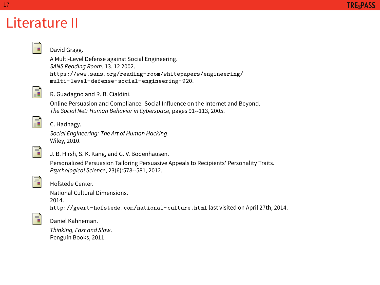### Literature II

17

**TRE<sub>S</sub>PASS** 

#### David Gragg. A Multi-Level Defense against Social Engineering. *SANS Reading Room*, 13, 12 2002. https://www.sans.org/reading-room/whitepapers/engineering/ multi-level-defense-social-engineering-920. E R. Guadagno and R. B. Cialdini. Online Persuasion and Compliance: Social Influence on the Internet and Beyond. *The Social Net: Human Behavior in Cyberspace*, pages 91--113, 2005. E C. Hadnagy. *Social Engineering: The Art of Human Hacking*. Wiley, 2010. E J. B. Hirsh, S. K. Kang, and G. V. Bodenhausen. Personalized Persuasion Tailoring Persuasive Appeals to Recipients' Personality Traits. *Psychological Science*, 23(6):578--581, 2012. E Hofstede Center. National Cultural Dimensions. 2014. http://geert-hofstede.com/national-culture.html last visited on April 27th, 2014. E Daniel Kahneman. *Thinking, Fast and Slow*. Penguin Books, 2011.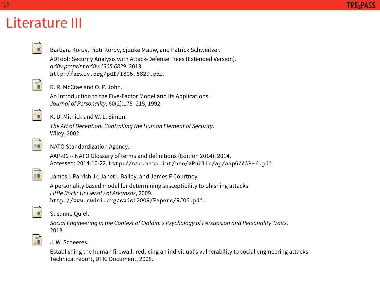## Literature III

18

|    | Barbara Kordy, Piotr Kordy, Sjouke Mauw, and Patrick Schweitzer.                                                                                 |
|----|--------------------------------------------------------------------------------------------------------------------------------------------------|
|    | ADTool: Security Analysis with Attack-Defense Trees (Extended Version).                                                                          |
|    | arXiv preprint arXiv:1305.6829, 2013.                                                                                                            |
|    | http://arxiv.org/pdf/1305.6829.pdf.                                                                                                              |
| F  |                                                                                                                                                  |
|    | R. R. McCrae and O. P. John.                                                                                                                     |
|    | An Introduction to the Five-Factor Model and Its Applications.                                                                                   |
|    | Journal of Personality, 60(2):175-215, 1992.                                                                                                     |
| t  |                                                                                                                                                  |
|    | K. D. Mitnick and W. L. Simon.                                                                                                                   |
|    | The Art of Deception: Controlling the Human Element of Security.                                                                                 |
|    | Wiley, 2002.                                                                                                                                     |
| ĥ  |                                                                                                                                                  |
|    | NATO Standardization Agency.                                                                                                                     |
|    | AAP-06 -- NATO Glossary of terms and definitions (Edition 2014), 2014.                                                                           |
|    | Accessed: 2014-10-22, http://nso.nato.int/nso/zPublic/ap/aap6/AAP-6.pdf.                                                                         |
| F  |                                                                                                                                                  |
|    | James L Parrish Jr, Janet L Bailey, and James F Courtney.                                                                                        |
|    | A personality based model for determining susceptibility to phishing attacks.                                                                    |
|    | Little Rock: University of Arkansas, 2009.                                                                                                       |
|    | http://www.swdsi.org/swdsi2009/Papers/9J05.pdf.                                                                                                  |
| J. |                                                                                                                                                  |
|    | Susanne Quiel.                                                                                                                                   |
|    | Social Engineering in the Context of Cialdini's Psychology of Persuasion and Personality Traits.                                                 |
|    | 2013.                                                                                                                                            |
| J. | J. W. Scheeres.                                                                                                                                  |
|    |                                                                                                                                                  |
|    | Establishing the human firewall: reducing an individual's vulnerability to social engineering attacks.<br>Technical report, DTIC Document, 2008. |
|    |                                                                                                                                                  |
|    |                                                                                                                                                  |